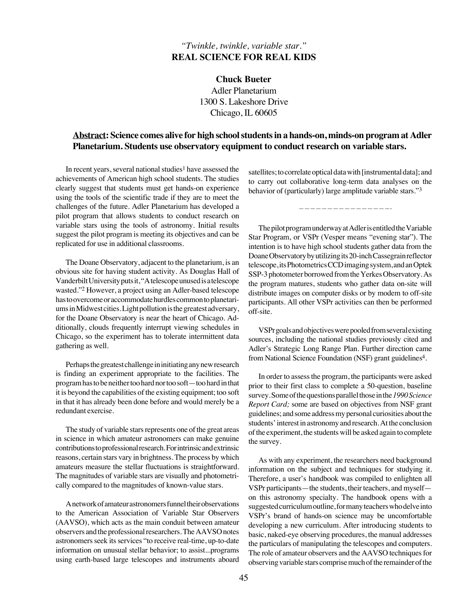## *"Twinkle, twinkle, variable star."* **REAL SCIENCE FOR REAL KIDS**

**Chuck Bueter** Adler Planetarium 1300 S. Lakeshore Drive Chicago, IL 60605

## **Abstract: Science comes alive for high school students in a hands-on, minds-on program at Adler Planetarium. Students use observatory equipment to conduct research on variable stars.**

In recent years, several national studies<sup>1</sup> have assessed the achievements of American high school students. The studies clearly suggest that students must get hands-on experience using the tools of the scientific trade if they are to meet the challenges of the future. Adler Planetarium has developed a pilot program that allows students to conduct research on variable stars using the tools of astronomy. Initial results suggest the pilot program is meeting its objectives and can be replicated for use in additional classrooms.

The Doane Observatory, adjacent to the planetarium, is an obvious site for having student activity. As Douglas Hall of Vanderbilt University puts it, "A telescope unused is a telescope wasted."2 However, a project using an Adler-based telescope has to overcome or accommodate hurdles common to planetariums in Midwest cities. Light pollution is the greatest adversary, for the Doane Observatory is near the heart of Chicago. Additionally, clouds frequently interrupt viewing schedules in Chicago, so the experiment has to tolerate intermittent data gathering as well.

Perhaps the greatest challenge in initiating any new research is finding an experiment appropriate to the facilities. The program has to be neither too hard nor too soft—too hard in that it is beyond the capabilities of the existing equipment; too soft in that it has already been done before and would merely be a redundant exercise.

The study of variable stars represents one of the great areas in science in which amateur astronomers can make genuine contributions to professional research. For intrinsic and extrinsic reasons, certain stars vary in brightness. The process by which amateurs measure the stellar fluctuations is straightforward. The magnitudes of variable stars are visually and photometrically compared to the magnitudes of known-value stars.

A network of amateur astronomers funnel their observations to the American Association of Variable Star Observers (AAVSO), which acts as the main conduit between amateur observers and the professional researchers. The AAVSO notes astronomers seek its services "to receive real-time, up-to-date information on unusual stellar behavior; to assist...programs using earth-based large telescopes and instruments aboard satellites; to correlate optical data with [instrumental data]; and to carry out collaborative long-term data analyses on the behavior of (particularly) large amplitude variable stars."3

————————————————-

The pilot program underway at Adler is entitled the Variable Star Program, or VSPr (Vesper means "evening star"). The intention is to have high school students gather data from the Doane Observatory by utilizing its 20-inch Cassegrain reflector telescope, its Photometrics CCD imaging system, and an Optek SSP-3 photometer borrowed from the Yerkes Observatory. As the program matures, students who gather data on-site will distribute images on computer disks or by modem to off-site participants. All other VSPr activities can then be performed off-site.

VSPr goals and objectives were pooled from several existing sources, including the national studies previously cited and Adler's Strategic Long Range Plan. Further direction came from National Science Foundation (NSF) grant guidelines<sup>4</sup>.

In order to assess the program, the participants were asked prior to their first class to complete a 50-question, baseline survey. Some of the questions parallel those in the *1990 Science Report Card;* some are based on objectives from NSF grant guidelines; and some address my personal curiosities about the students' interest in astronomy and research.At the conclusion of the experiment, the students will be asked again to complete the survey.

As with any experiment, the researchers need background information on the subject and techniques for studying it. Therefore, a user's handbook was compiled to enlighten all VSPr participants—the students, their teachers, and myself on this astronomy specialty. The handbook opens with a suggested curriculum outline, for many teachers who delve into VSPr's brand of hands-on science may be uncomfortable developing a new curriculum. After introducing students to basic, naked-eye observing procedures, the manual addresses the particulars of manipulating the telescopes and computers. The role of amateur observers and the AAVSO techniques for observing variable stars comprise much of the remainder of the